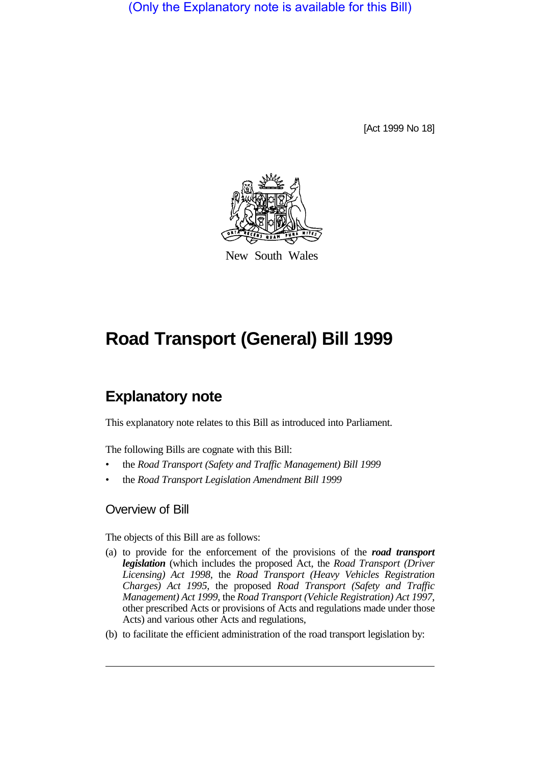(Only the Explanatory note is available for this Bill)

[Act 1999 No 18]



New South Wales

# **Road Transport (General) Bill 1999**

# **Explanatory note**

This explanatory note relates to this Bill as introduced into Parliament.

The following Bills are cognate with this Bill:

- the *Road Transport (Safety and Traffic Management) Bill 1999*
- the *Road Transport Legislation Amendment Bill 1999*

# Overview of Bill

The objects of this Bill are as follows:

- (a) to provide for the enforcement of the provisions of the *road transport legislation* (which includes the proposed Act, the *Road Transport (Driver Licensing) Act 1998*, the *Road Transport (Heavy Vehicles Registration Charges) Act 1995*, the proposed *Road Transport (Safety and Traffic Management) Act 1999*, the *Road Transport (Vehicle Registration) Act 1997*, other prescribed Acts or provisions of Acts and regulations made under those Acts) and various other Acts and regulations,
- (b) to facilitate the efficient administration of the road transport legislation by: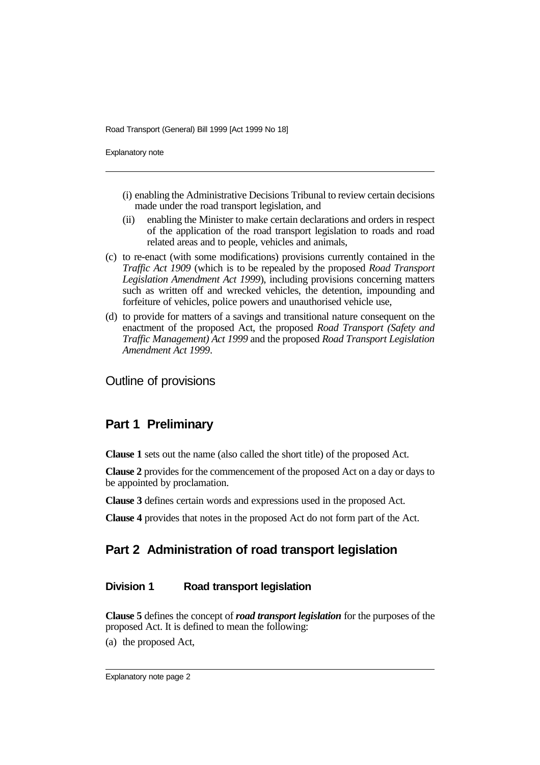Explanatory note

- (i) enabling the Administrative Decisions Tribunal to review certain decisions made under the road transport legislation, and
- (ii) enabling the Minister to make certain declarations and orders in respect of the application of the road transport legislation to roads and road related areas and to people, vehicles and animals,
- (c) to re-enact (with some modifications) provisions currently contained in the *Traffic Act 1909* (which is to be repealed by the proposed *Road Transport Legislation Amendment Act 1999*), including provisions concerning matters such as written off and wrecked vehicles, the detention, impounding and forfeiture of vehicles, police powers and unauthorised vehicle use,
- (d) to provide for matters of a savings and transitional nature consequent on the enactment of the proposed Act, the proposed *Road Transport (Safety and Traffic Management) Act 1999* and the proposed *Road Transport Legislation Amendment Act 1999*.

Outline of provisions

# **Part 1 Preliminary**

**Clause 1** sets out the name (also called the short title) of the proposed Act.

**Clause 2** provides for the commencement of the proposed Act on a day or days to be appointed by proclamation.

**Clause 3** defines certain words and expressions used in the proposed Act.

**Clause 4** provides that notes in the proposed Act do not form part of the Act.

# **Part 2 Administration of road transport legislation**

# **Division 1 Road transport legislation**

**Clause 5** defines the concept of *road transport legislation* for the purposes of the proposed Act. It is defined to mean the following:

(a) the proposed Act,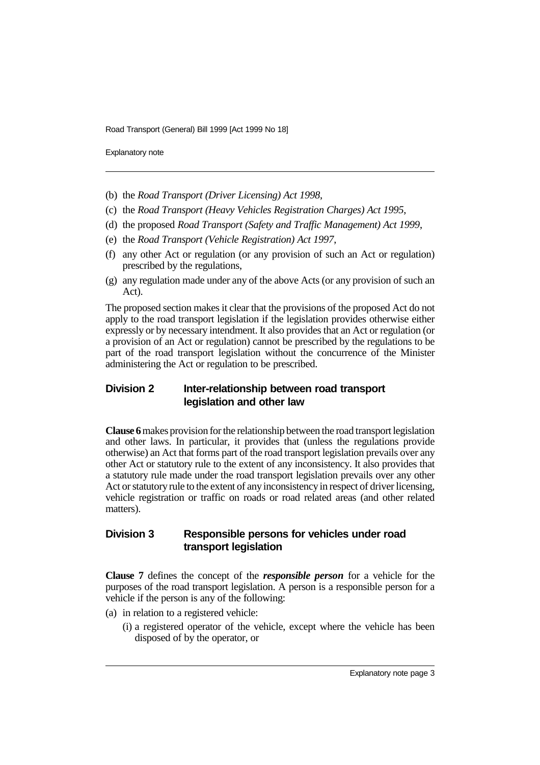Explanatory note

- (b) the *Road Transport (Driver Licensing) Act 1998*,
- (c) the *Road Transport (Heavy Vehicles Registration Charges) Act 1995*,
- (d) the proposed *Road Transport (Safety and Traffic Management) Act 1999*,
- (e) the *Road Transport (Vehicle Registration) Act 1997*,
- (f) any other Act or regulation (or any provision of such an Act or regulation) prescribed by the regulations,
- (g) any regulation made under any of the above Acts (or any provision of such an Act).

The proposed section makes it clear that the provisions of the proposed Act do not apply to the road transport legislation if the legislation provides otherwise either expressly or by necessary intendment. It also provides that an Act or regulation (or a provision of an Act or regulation) cannot be prescribed by the regulations to be part of the road transport legislation without the concurrence of the Minister administering the Act or regulation to be prescribed.

## **Division 2 Inter-relationship between road transport legislation and other law**

**Clause 6** makes provision for the relationship between the road transport legislation and other laws. In particular, it provides that (unless the regulations provide otherwise) an Act that forms part of the road transport legislation prevails over any other Act or statutory rule to the extent of any inconsistency. It also provides that a statutory rule made under the road transport legislation prevails over any other Act or statutory rule to the extent of any inconsistency in respect of driver licensing, vehicle registration or traffic on roads or road related areas (and other related matters).

# **Division 3 Responsible persons for vehicles under road transport legislation**

**Clause 7** defines the concept of the *responsible person* for a vehicle for the purposes of the road transport legislation. A person is a responsible person for a vehicle if the person is any of the following:

- (a) in relation to a registered vehicle:
	- (i) a registered operator of the vehicle, except where the vehicle has been disposed of by the operator, or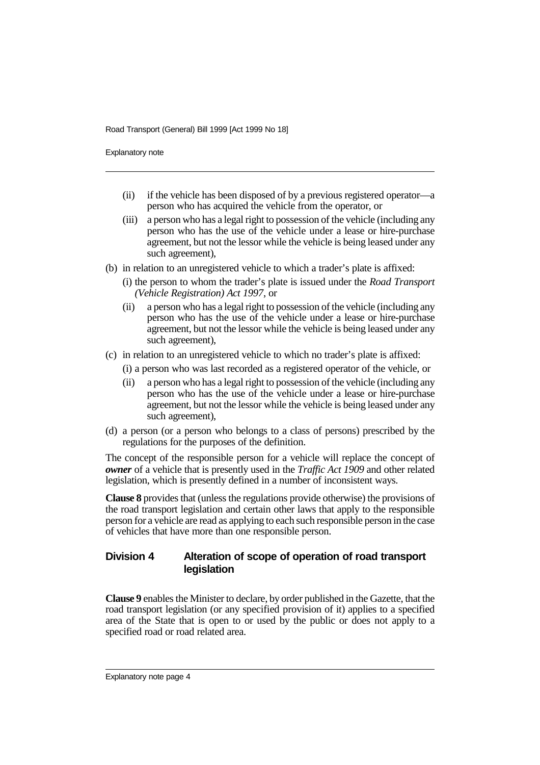Explanatory note

- (ii) if the vehicle has been disposed of by a previous registered operator—a person who has acquired the vehicle from the operator, or
- (iii) a person who has a legal right to possession of the vehicle (including any person who has the use of the vehicle under a lease or hire-purchase agreement, but not the lessor while the vehicle is being leased under any such agreement),
- (b) in relation to an unregistered vehicle to which a trader's plate is affixed:
	- (i) the person to whom the trader's plate is issued under the *Road Transport (Vehicle Registration) Act 1997*, or
	- (ii) a person who has a legal right to possession of the vehicle (including any person who has the use of the vehicle under a lease or hire-purchase agreement, but not the lessor while the vehicle is being leased under any such agreement),
- (c) in relation to an unregistered vehicle to which no trader's plate is affixed:
	- (i) a person who was last recorded as a registered operator of the vehicle, or
	- (ii) a person who has a legal right to possession of the vehicle (including any person who has the use of the vehicle under a lease or hire-purchase agreement, but not the lessor while the vehicle is being leased under any such agreement),
- (d) a person (or a person who belongs to a class of persons) prescribed by the regulations for the purposes of the definition.

The concept of the responsible person for a vehicle will replace the concept of *owner* of a vehicle that is presently used in the *Traffic Act 1909* and other related legislation, which is presently defined in a number of inconsistent ways.

**Clause 8** provides that (unless the regulations provide otherwise) the provisions of the road transport legislation and certain other laws that apply to the responsible person for a vehicle are read as applying to each such responsible person in the case of vehicles that have more than one responsible person.

#### **Division 4 Alteration of scope of operation of road transport legislation**

**Clause 9** enables the Minister to declare, by order published in the Gazette, that the road transport legislation (or any specified provision of it) applies to a specified area of the State that is open to or used by the public or does not apply to a specified road or road related area.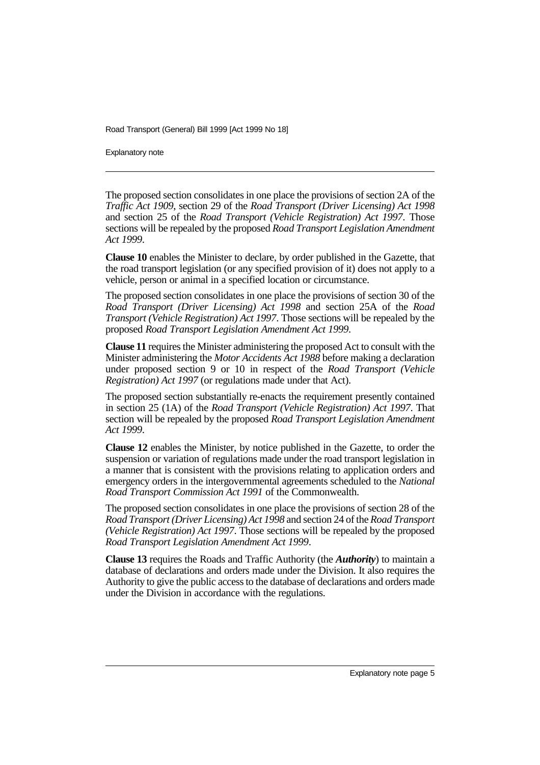Explanatory note

The proposed section consolidates in one place the provisions of section 2A of the *Traffic Act 1909*, section 29 of the *Road Transport (Driver Licensing) Act 1998* and section 25 of the *Road Transport (Vehicle Registration) Act 1997*. Those sections will be repealed by the proposed *Road Transport Legislation Amendment Act 1999*.

**Clause 10** enables the Minister to declare, by order published in the Gazette, that the road transport legislation (or any specified provision of it) does not apply to a vehicle, person or animal in a specified location or circumstance.

The proposed section consolidates in one place the provisions of section 30 of the *Road Transport (Driver Licensing) Act 1998* and section 25A of the *Road Transport (Vehicle Registration) Act 1997*. Those sections will be repealed by the proposed *Road Transport Legislation Amendment Act 1999*.

**Clause 11** requires the Minister administering the proposed Act to consult with the Minister administering the *Motor Accidents Act 1988* before making a declaration under proposed section 9 or 10 in respect of the *Road Transport (Vehicle Registration) Act 1997* (or regulations made under that Act).

The proposed section substantially re-enacts the requirement presently contained in section 25 (1A) of the *Road Transport (Vehicle Registration) Act 1997*. That section will be repealed by the proposed *Road Transport Legislation Amendment Act 1999*.

**Clause 12** enables the Minister, by notice published in the Gazette, to order the suspension or variation of regulations made under the road transport legislation in a manner that is consistent with the provisions relating to application orders and emergency orders in the intergovernmental agreements scheduled to the *National Road Transport Commission Act 1991* of the Commonwealth.

The proposed section consolidates in one place the provisions of section 28 of the *Road Transport (Driver Licensing) Act 1998* and section 24 of the *Road Transport (Vehicle Registration) Act 1997*. Those sections will be repealed by the proposed *Road Transport Legislation Amendment Act 1999*.

**Clause 13** requires the Roads and Traffic Authority (the *Authority*) to maintain a database of declarations and orders made under the Division. It also requires the Authority to give the public access to the database of declarations and orders made under the Division in accordance with the regulations.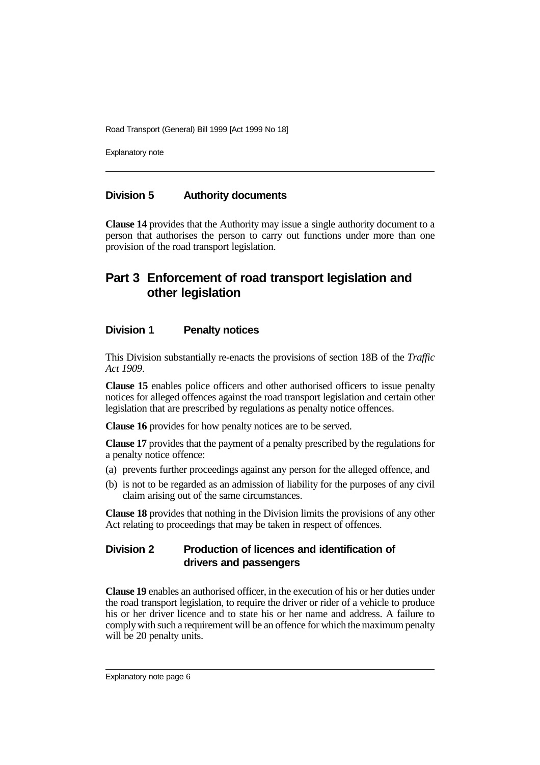Explanatory note

#### **Division 5 Authority documents**

**Clause 14** provides that the Authority may issue a single authority document to a person that authorises the person to carry out functions under more than one provision of the road transport legislation.

# **Part 3 Enforcement of road transport legislation and other legislation**

#### **Division 1 Penalty notices**

This Division substantially re-enacts the provisions of section 18B of the *Traffic Act 1909*.

**Clause 15** enables police officers and other authorised officers to issue penalty notices for alleged offences against the road transport legislation and certain other legislation that are prescribed by regulations as penalty notice offences.

**Clause 16** provides for how penalty notices are to be served.

**Clause 17** provides that the payment of a penalty prescribed by the regulations for a penalty notice offence:

- (a) prevents further proceedings against any person for the alleged offence, and
- (b) is not to be regarded as an admission of liability for the purposes of any civil claim arising out of the same circumstances.

**Clause 18** provides that nothing in the Division limits the provisions of any other Act relating to proceedings that may be taken in respect of offences.

# **Division 2 Production of licences and identification of drivers and passengers**

**Clause 19** enables an authorised officer, in the execution of his or her duties under the road transport legislation, to require the driver or rider of a vehicle to produce his or her driver licence and to state his or her name and address. A failure to comply with such a requirement will be an offence for which the maximum penalty will be 20 penalty units.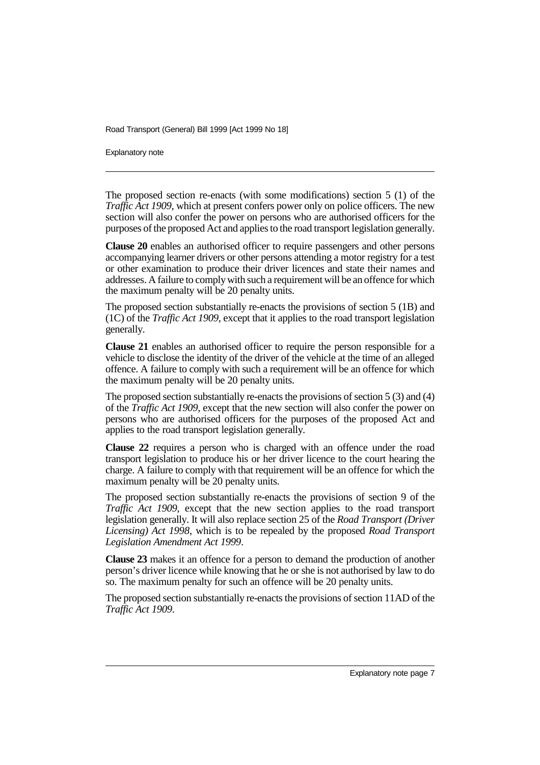Explanatory note

The proposed section re-enacts (with some modifications) section 5 (1) of the *Traffic Act 1909*, which at present confers power only on police officers. The new section will also confer the power on persons who are authorised officers for the purposes of the proposed Act and applies to the road transport legislation generally.

**Clause 20** enables an authorised officer to require passengers and other persons accompanying learner drivers or other persons attending a motor registry for a test or other examination to produce their driver licences and state their names and addresses. A failure to comply with such a requirement will be an offence for which the maximum penalty will be 20 penalty units.

The proposed section substantially re-enacts the provisions of section 5 (1B) and (1C) of the *Traffic Act 1909*, except that it applies to the road transport legislation generally.

**Clause 21** enables an authorised officer to require the person responsible for a vehicle to disclose the identity of the driver of the vehicle at the time of an alleged offence. A failure to comply with such a requirement will be an offence for which the maximum penalty will be 20 penalty units.

The proposed section substantially re-enacts the provisions of section 5 (3) and (4) of the *Traffic Act 1909*, except that the new section will also confer the power on persons who are authorised officers for the purposes of the proposed Act and applies to the road transport legislation generally.

**Clause 22** requires a person who is charged with an offence under the road transport legislation to produce his or her driver licence to the court hearing the charge. A failure to comply with that requirement will be an offence for which the maximum penalty will be 20 penalty units.

The proposed section substantially re-enacts the provisions of section 9 of the *Traffic Act 1909*, except that the new section applies to the road transport legislation generally. It will also replace section 25 of the *Road Transport (Driver Licensing) Act 1998*, which is to be repealed by the proposed *Road Transport Legislation Amendment Act 1999*.

**Clause 23** makes it an offence for a person to demand the production of another person's driver licence while knowing that he or she is not authorised by law to do so. The maximum penalty for such an offence will be 20 penalty units.

The proposed section substantially re-enacts the provisions of section 11AD of the *Traffic Act 1909*.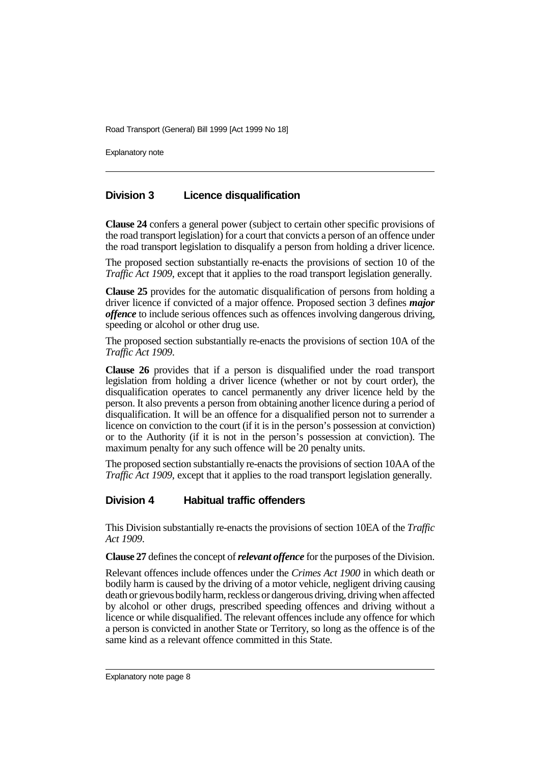Explanatory note

# **Division 3 Licence disqualification**

**Clause 24** confers a general power (subject to certain other specific provisions of the road transport legislation) for a court that convicts a person of an offence under the road transport legislation to disqualify a person from holding a driver licence.

The proposed section substantially re-enacts the provisions of section 10 of the *Traffic Act 1909*, except that it applies to the road transport legislation generally.

**Clause 25** provides for the automatic disqualification of persons from holding a driver licence if convicted of a major offence. Proposed section 3 defines *major offence* to include serious offences such as offences involving dangerous driving, speeding or alcohol or other drug use.

The proposed section substantially re-enacts the provisions of section 10A of the *Traffic Act 1909*.

**Clause 26** provides that if a person is disqualified under the road transport legislation from holding a driver licence (whether or not by court order), the disqualification operates to cancel permanently any driver licence held by the person. It also prevents a person from obtaining another licence during a period of disqualification. It will be an offence for a disqualified person not to surrender a licence on conviction to the court (if it is in the person's possession at conviction) or to the Authority (if it is not in the person's possession at conviction). The maximum penalty for any such offence will be 20 penalty units.

The proposed section substantially re-enacts the provisions of section 10AA of the *Traffic Act 1909*, except that it applies to the road transport legislation generally.

# **Division 4 Habitual traffic offenders**

This Division substantially re-enacts the provisions of section 10EA of the *Traffic Act 1909*.

**Clause 27** defines the concept of *relevant offence* for the purposes of the Division.

Relevant offences include offences under the *Crimes Act 1900* in which death or bodily harm is caused by the driving of a motor vehicle, negligent driving causing death or grievous bodily harm, reckless or dangerous driving, driving when affected by alcohol or other drugs, prescribed speeding offences and driving without a licence or while disqualified. The relevant offences include any offence for which a person is convicted in another State or Territory, so long as the offence is of the same kind as a relevant offence committed in this State.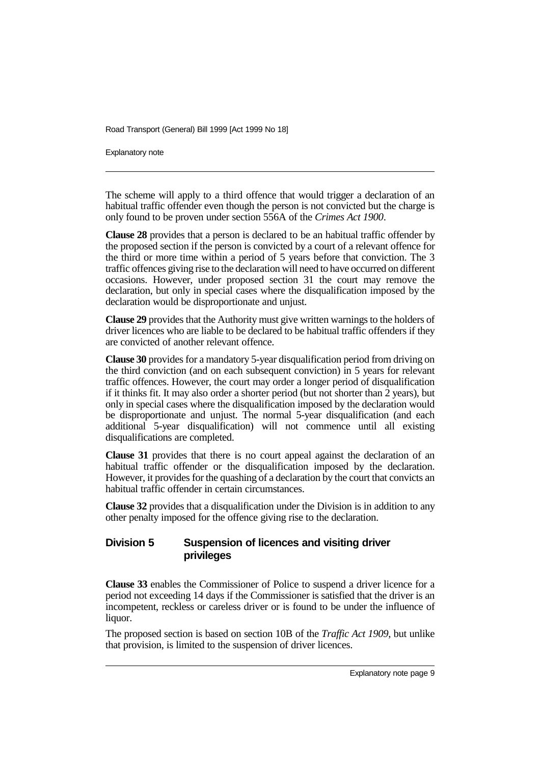Explanatory note

The scheme will apply to a third offence that would trigger a declaration of an habitual traffic offender even though the person is not convicted but the charge is only found to be proven under section 556A of the *Crimes Act 1900*.

**Clause 28** provides that a person is declared to be an habitual traffic offender by the proposed section if the person is convicted by a court of a relevant offence for the third or more time within a period of 5 years before that conviction. The 3 traffic offences giving rise to the declaration will need to have occurred on different occasions. However, under proposed section 31 the court may remove the declaration, but only in special cases where the disqualification imposed by the declaration would be disproportionate and unjust.

**Clause 29** provides that the Authority must give written warnings to the holders of driver licences who are liable to be declared to be habitual traffic offenders if they are convicted of another relevant offence.

**Clause 30** provides for a mandatory 5-year disqualification period from driving on the third conviction (and on each subsequent conviction) in 5 years for relevant traffic offences. However, the court may order a longer period of disqualification if it thinks fit. It may also order a shorter period (but not shorter than 2 years), but only in special cases where the disqualification imposed by the declaration would be disproportionate and unjust. The normal 5-year disqualification (and each additional 5-year disqualification) will not commence until all existing disqualifications are completed.

**Clause 31** provides that there is no court appeal against the declaration of an habitual traffic offender or the disqualification imposed by the declaration. However, it provides for the quashing of a declaration by the court that convicts an habitual traffic offender in certain circumstances.

**Clause 32** provides that a disqualification under the Division is in addition to any other penalty imposed for the offence giving rise to the declaration.

# **Division 5 Suspension of licences and visiting driver privileges**

**Clause 33** enables the Commissioner of Police to suspend a driver licence for a period not exceeding 14 days if the Commissioner is satisfied that the driver is an incompetent, reckless or careless driver or is found to be under the influence of liquor.

The proposed section is based on section 10B of the *Traffic Act 1909*, but unlike that provision, is limited to the suspension of driver licences.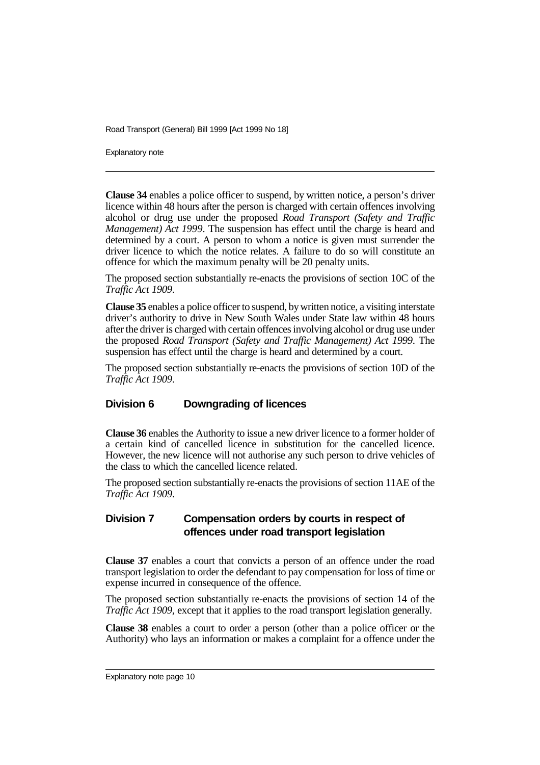Explanatory note

**Clause 34** enables a police officer to suspend, by written notice, a person's driver licence within 48 hours after the person is charged with certain offences involving alcohol or drug use under the proposed *Road Transport (Safety and Traffic Management) Act 1999*. The suspension has effect until the charge is heard and determined by a court. A person to whom a notice is given must surrender the driver licence to which the notice relates. A failure to do so will constitute an offence for which the maximum penalty will be 20 penalty units.

The proposed section substantially re-enacts the provisions of section 10C of the *Traffic Act 1909*.

**Clause 35** enables a police officer to suspend, by written notice, a visiting interstate driver's authority to drive in New South Wales under State law within 48 hours after the driver is charged with certain offences involving alcohol or drug use under the proposed *Road Transport (Safety and Traffic Management) Act 1999*. The suspension has effect until the charge is heard and determined by a court.

The proposed section substantially re-enacts the provisions of section 10D of the *Traffic Act 1909*.

#### **Division 6 Downgrading of licences**

**Clause 36** enables the Authority to issue a new driver licence to a former holder of a certain kind of cancelled licence in substitution for the cancelled licence. However, the new licence will not authorise any such person to drive vehicles of the class to which the cancelled licence related.

The proposed section substantially re-enacts the provisions of section 11AE of the *Traffic Act 1909*.

#### **Division 7 Compensation orders by courts in respect of offences under road transport legislation**

**Clause 37** enables a court that convicts a person of an offence under the road transport legislation to order the defendant to pay compensation for loss of time or expense incurred in consequence of the offence.

The proposed section substantially re-enacts the provisions of section 14 of the *Traffic Act 1909*, except that it applies to the road transport legislation generally.

**Clause 38** enables a court to order a person (other than a police officer or the Authority) who lays an information or makes a complaint for a offence under the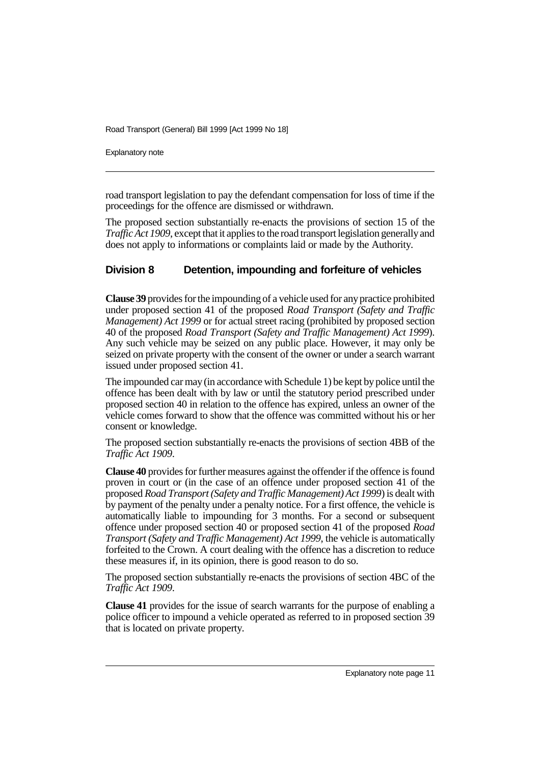Explanatory note

road transport legislation to pay the defendant compensation for loss of time if the proceedings for the offence are dismissed or withdrawn.

The proposed section substantially re-enacts the provisions of section 15 of the *Traffic Act 1909*, except that it applies to the road transport legislation generally and does not apply to informations or complaints laid or made by the Authority.

# **Division 8 Detention, impounding and forfeiture of vehicles**

**Clause 39** provides for the impounding of a vehicle used for any practice prohibited under proposed section 41 of the proposed *Road Transport (Safety and Traffic Management) Act 1999* or for actual street racing (prohibited by proposed section 40 of the proposed *Road Transport (Safety and Traffic Management) Act 1999*). Any such vehicle may be seized on any public place. However, it may only be seized on private property with the consent of the owner or under a search warrant issued under proposed section 41.

The impounded car may (in accordance with Schedule 1) be kept by police until the offence has been dealt with by law or until the statutory period prescribed under proposed section 40 in relation to the offence has expired, unless an owner of the vehicle comes forward to show that the offence was committed without his or her consent or knowledge.

The proposed section substantially re-enacts the provisions of section 4BB of the *Traffic Act 1909*.

**Clause 40** provides for further measures against the offender if the offence is found proven in court or (in the case of an offence under proposed section 41 of the proposed *Road Transport (Safety and Traffic Management) Act 1999*) is dealt with by payment of the penalty under a penalty notice. For a first offence, the vehicle is automatically liable to impounding for 3 months. For a second or subsequent offence under proposed section 40 or proposed section 41 of the proposed *Road Transport (Safety and Traffic Management) Act 1999*, the vehicle is automatically forfeited to the Crown. A court dealing with the offence has a discretion to reduce these measures if, in its opinion, there is good reason to do so.

The proposed section substantially re-enacts the provisions of section 4BC of the *Traffic Act 1909*.

**Clause 41** provides for the issue of search warrants for the purpose of enabling a police officer to impound a vehicle operated as referred to in proposed section 39 that is located on private property.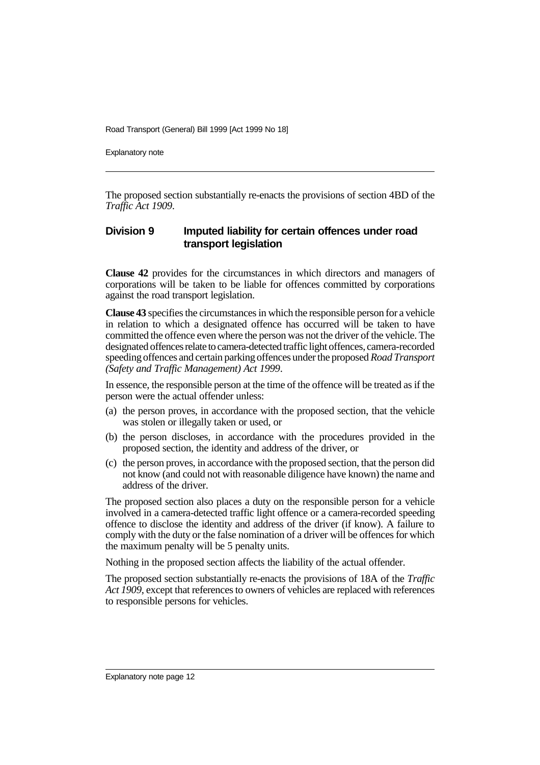Explanatory note

The proposed section substantially re-enacts the provisions of section 4BD of the *Traffic Act 1909*.

## **Division 9 Imputed liability for certain offences under road transport legislation**

**Clause 42** provides for the circumstances in which directors and managers of corporations will be taken to be liable for offences committed by corporations against the road transport legislation.

**Clause 43** specifies the circumstances in which the responsible person for a vehicle in relation to which a designated offence has occurred will be taken to have committed the offence even where the person was not the driver of the vehicle. The designated offences relate to camera-detected traffic light offences, camera-recorded speeding offences and certain parking offences under the proposed *Road Transport (Safety and Traffic Management) Act 1999*.

In essence, the responsible person at the time of the offence will be treated as if the person were the actual offender unless:

- (a) the person proves, in accordance with the proposed section, that the vehicle was stolen or illegally taken or used, or
- (b) the person discloses, in accordance with the procedures provided in the proposed section, the identity and address of the driver, or
- (c) the person proves, in accordance with the proposed section, that the person did not know (and could not with reasonable diligence have known) the name and address of the driver.

The proposed section also places a duty on the responsible person for a vehicle involved in a camera-detected traffic light offence or a camera-recorded speeding offence to disclose the identity and address of the driver (if know). A failure to comply with the duty or the false nomination of a driver will be offences for which the maximum penalty will be 5 penalty units.

Nothing in the proposed section affects the liability of the actual offender.

The proposed section substantially re-enacts the provisions of 18A of the *Traffic Act 1909*, except that references to owners of vehicles are replaced with references to responsible persons for vehicles.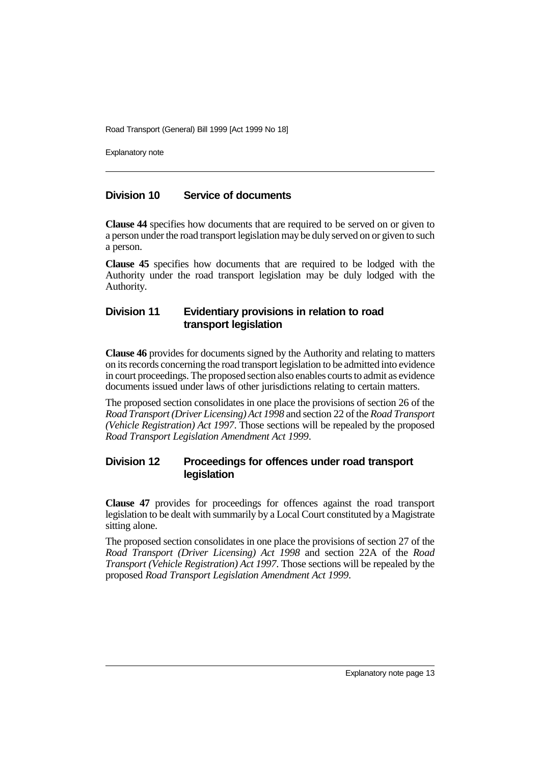Explanatory note

# **Division 10 Service of documents**

**Clause 44** specifies how documents that are required to be served on or given to a person under the road transport legislation may be duly served on or given to such a person.

**Clause 45** specifies how documents that are required to be lodged with the Authority under the road transport legislation may be duly lodged with the Authority.

## **Division 11 Evidentiary provisions in relation to road transport legislation**

**Clause 46** provides for documents signed by the Authority and relating to matters on its records concerning the road transport legislation to be admitted into evidence in court proceedings. The proposed section also enables courts to admit as evidence documents issued under laws of other jurisdictions relating to certain matters.

The proposed section consolidates in one place the provisions of section 26 of the *Road Transport (Driver Licensing) Act 1998* and section 22 of the *Road Transport (Vehicle Registration) Act 1997*. Those sections will be repealed by the proposed *Road Transport Legislation Amendment Act 1999*.

# **Division 12 Proceedings for offences under road transport legislation**

**Clause 47** provides for proceedings for offences against the road transport legislation to be dealt with summarily by a Local Court constituted by a Magistrate sitting alone.

The proposed section consolidates in one place the provisions of section 27 of the *Road Transport (Driver Licensing) Act 1998* and section 22A of the *Road Transport (Vehicle Registration) Act 1997*. Those sections will be repealed by the proposed *Road Transport Legislation Amendment Act 1999*.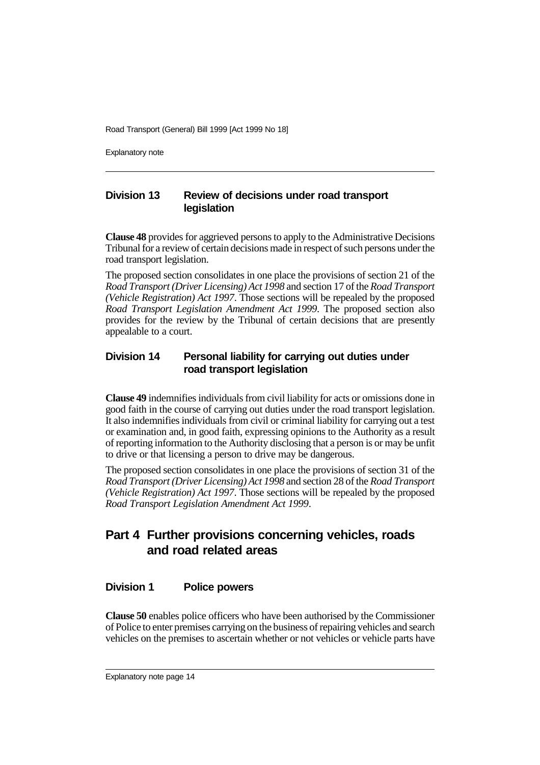Explanatory note

# **Division 13 Review of decisions under road transport legislation**

**Clause 48** provides for aggrieved persons to apply to the Administrative Decisions Tribunal for a review of certain decisions made in respect of such persons under the road transport legislation.

The proposed section consolidates in one place the provisions of section 21 of the *Road Transport (Driver Licensing) Act 1998* and section 17 of the *Road Transport (Vehicle Registration) Act 1997*. Those sections will be repealed by the proposed *Road Transport Legislation Amendment Act 1999*. The proposed section also provides for the review by the Tribunal of certain decisions that are presently appealable to a court.

# **Division 14 Personal liability for carrying out duties under road transport legislation**

**Clause 49** indemnifies individuals from civil liability for acts or omissions done in good faith in the course of carrying out duties under the road transport legislation. It also indemnifies individuals from civil or criminal liability for carrying out a test or examination and, in good faith, expressing opinions to the Authority as a result of reporting information to the Authority disclosing that a person is or may be unfit to drive or that licensing a person to drive may be dangerous.

The proposed section consolidates in one place the provisions of section 31 of the *Road Transport (Driver Licensing) Act 1998* and section 28 of the *Road Transport (Vehicle Registration) Act 1997*. Those sections will be repealed by the proposed *Road Transport Legislation Amendment Act 1999*.

# **Part 4 Further provisions concerning vehicles, roads and road related areas**

# **Division 1 Police powers**

**Clause 50** enables police officers who have been authorised by the Commissioner of Police to enter premises carrying on the business of repairing vehicles and search vehicles on the premises to ascertain whether or not vehicles or vehicle parts have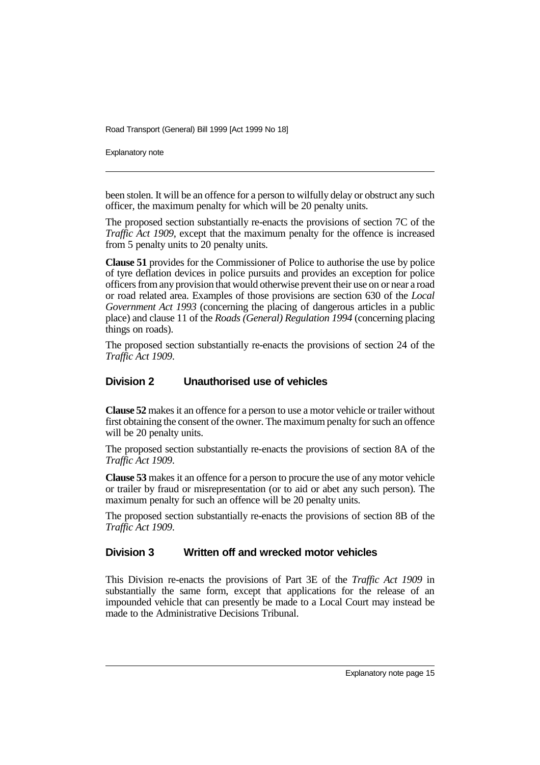Explanatory note

been stolen. It will be an offence for a person to wilfully delay or obstruct any such officer, the maximum penalty for which will be 20 penalty units.

The proposed section substantially re-enacts the provisions of section 7C of the *Traffic Act 1909*, except that the maximum penalty for the offence is increased from 5 penalty units to 20 penalty units.

**Clause 51** provides for the Commissioner of Police to authorise the use by police of tyre deflation devices in police pursuits and provides an exception for police officers from any provision that would otherwise prevent their use on or near a road or road related area. Examples of those provisions are section 630 of the *Local Government Act 1993* (concerning the placing of dangerous articles in a public place) and clause 11 of the *Roads (General) Regulation 1994* (concerning placing things on roads).

The proposed section substantially re-enacts the provisions of section 24 of the *Traffic Act 1909*.

## **Division 2 Unauthorised use of vehicles**

**Clause 52** makes it an offence for a person to use a motor vehicle or trailer without first obtaining the consent of the owner. The maximum penalty for such an offence will be 20 penalty units.

The proposed section substantially re-enacts the provisions of section 8A of the *Traffic Act 1909*.

**Clause 53** makes it an offence for a person to procure the use of any motor vehicle or trailer by fraud or misrepresentation (or to aid or abet any such person). The maximum penalty for such an offence will be 20 penalty units.

The proposed section substantially re-enacts the provisions of section 8B of the *Traffic Act 1909*.

# **Division 3 Written off and wrecked motor vehicles**

This Division re-enacts the provisions of Part 3E of the *Traffic Act 1909* in substantially the same form, except that applications for the release of an impounded vehicle that can presently be made to a Local Court may instead be made to the Administrative Decisions Tribunal.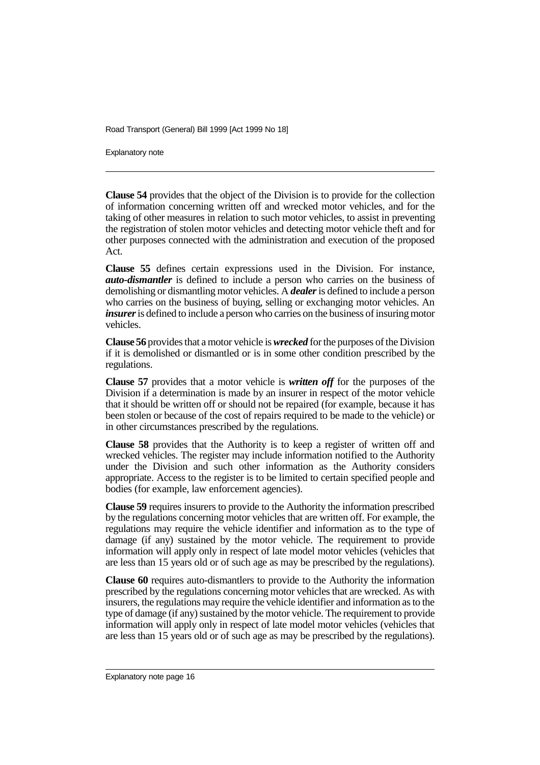Explanatory note

**Clause 54** provides that the object of the Division is to provide for the collection of information concerning written off and wrecked motor vehicles, and for the taking of other measures in relation to such motor vehicles, to assist in preventing the registration of stolen motor vehicles and detecting motor vehicle theft and for other purposes connected with the administration and execution of the proposed Act.

**Clause 55** defines certain expressions used in the Division. For instance, *auto-dismantler* is defined to include a person who carries on the business of demolishing or dismantling motor vehicles. A *dealer* is defined to include a person who carries on the business of buying, selling or exchanging motor vehicles. An *insurer* is defined to include a person who carries on the business of insuring motor vehicles.

**Clause 56** provides that a motor vehicle is *wrecked* for the purposes of the Division if it is demolished or dismantled or is in some other condition prescribed by the regulations.

**Clause 57** provides that a motor vehicle is *written off* for the purposes of the Division if a determination is made by an insurer in respect of the motor vehicle that it should be written off or should not be repaired (for example, because it has been stolen or because of the cost of repairs required to be made to the vehicle) or in other circumstances prescribed by the regulations.

**Clause 58** provides that the Authority is to keep a register of written off and wrecked vehicles. The register may include information notified to the Authority under the Division and such other information as the Authority considers appropriate. Access to the register is to be limited to certain specified people and bodies (for example, law enforcement agencies).

**Clause 59** requires insurers to provide to the Authority the information prescribed by the regulations concerning motor vehicles that are written off. For example, the regulations may require the vehicle identifier and information as to the type of damage (if any) sustained by the motor vehicle. The requirement to provide information will apply only in respect of late model motor vehicles (vehicles that are less than 15 years old or of such age as may be prescribed by the regulations).

**Clause 60** requires auto-dismantlers to provide to the Authority the information prescribed by the regulations concerning motor vehicles that are wrecked. As with insurers, the regulations may require the vehicle identifier and information as to the type of damage (if any) sustained by the motor vehicle. The requirement to provide information will apply only in respect of late model motor vehicles (vehicles that are less than 15 years old or of such age as may be prescribed by the regulations).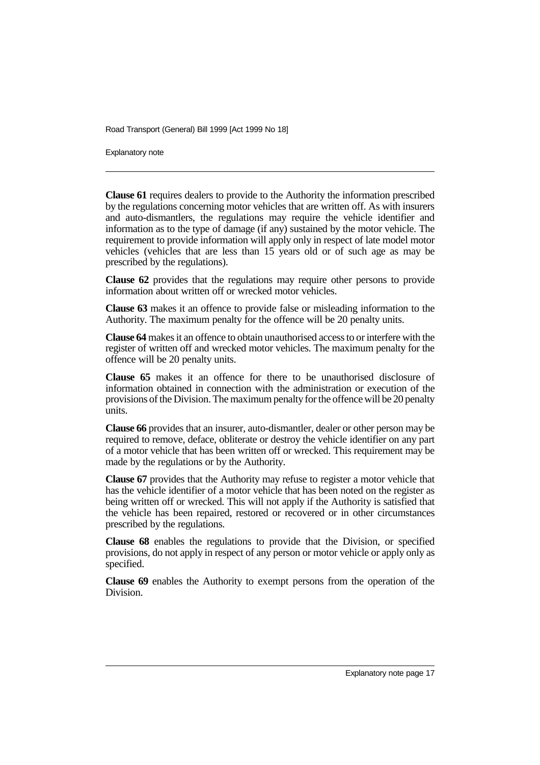Explanatory note

**Clause 61** requires dealers to provide to the Authority the information prescribed by the regulations concerning motor vehicles that are written off. As with insurers and auto-dismantlers, the regulations may require the vehicle identifier and information as to the type of damage (if any) sustained by the motor vehicle. The requirement to provide information will apply only in respect of late model motor vehicles (vehicles that are less than 15 years old or of such age as may be prescribed by the regulations).

**Clause 62** provides that the regulations may require other persons to provide information about written off or wrecked motor vehicles.

**Clause 63** makes it an offence to provide false or misleading information to the Authority. The maximum penalty for the offence will be 20 penalty units.

**Clause 64** makes it an offence to obtain unauthorised access to or interfere with the register of written off and wrecked motor vehicles. The maximum penalty for the offence will be 20 penalty units.

**Clause 65** makes it an offence for there to be unauthorised disclosure of information obtained in connection with the administration or execution of the provisions of the Division. The maximum penalty for the offence will be 20 penalty units.

**Clause 66** provides that an insurer, auto-dismantler, dealer or other person may be required to remove, deface, obliterate or destroy the vehicle identifier on any part of a motor vehicle that has been written off or wrecked. This requirement may be made by the regulations or by the Authority.

**Clause 67** provides that the Authority may refuse to register a motor vehicle that has the vehicle identifier of a motor vehicle that has been noted on the register as being written off or wrecked. This will not apply if the Authority is satisfied that the vehicle has been repaired, restored or recovered or in other circumstances prescribed by the regulations.

**Clause 68** enables the regulations to provide that the Division, or specified provisions, do not apply in respect of any person or motor vehicle or apply only as specified.

**Clause 69** enables the Authority to exempt persons from the operation of the Division.